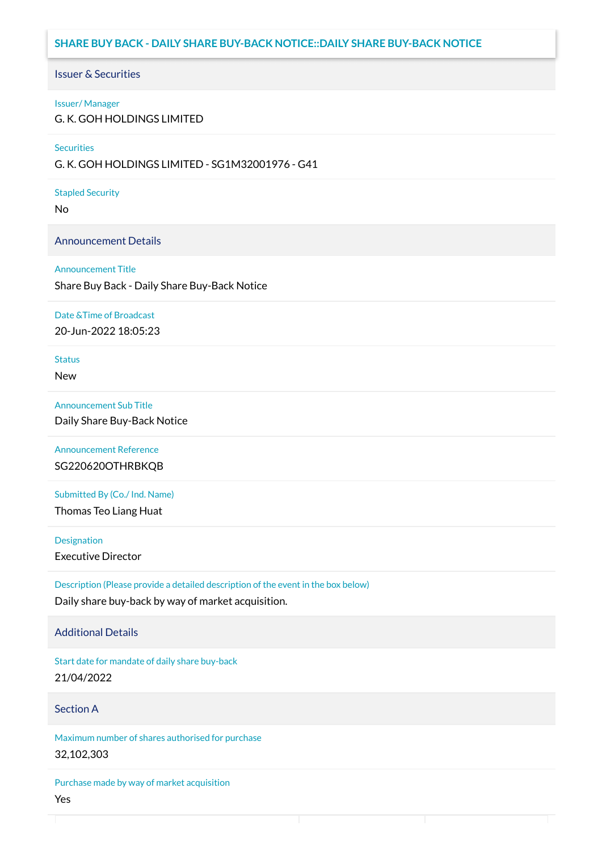# **SHARE BUY BACK - DAILY SHARE BUY-BACK NOTICE::DAILY SHARE BUY-BACK NOTICE**

## Issuer & Securities

### Issuer/ Manager

G. K. GOH HOLDINGS LIMITED

### **Securities**

G. K. GOH HOLDINGS LIMITED - SG1M32001976 - G41

### Stapled Security

No

## Announcement Details

### Announcement Title

Share Buy Back - Daily Share Buy-Back Notice

### Date &Time of Broadcast

20-Jun-2022 18:05:23

# **Status**

New

## Announcement Sub Title

Daily Share Buy-Back Notice

Announcement Reference SG220620OTHRBKQB

Submitted By (Co./ Ind. Name)

Thomas Teo Liang Huat

**Designation** 

Executive Director

Description (Please provide a detailed description of the event in the box below) Daily share buy-back by way of market acquisition.

## Additional Details

Start date for mandate of daily share buy-back 21/04/2022

## Section A

Maximum number of shares authorised for purchase 32,102,303

Purchase made by way of market acquisition Yes